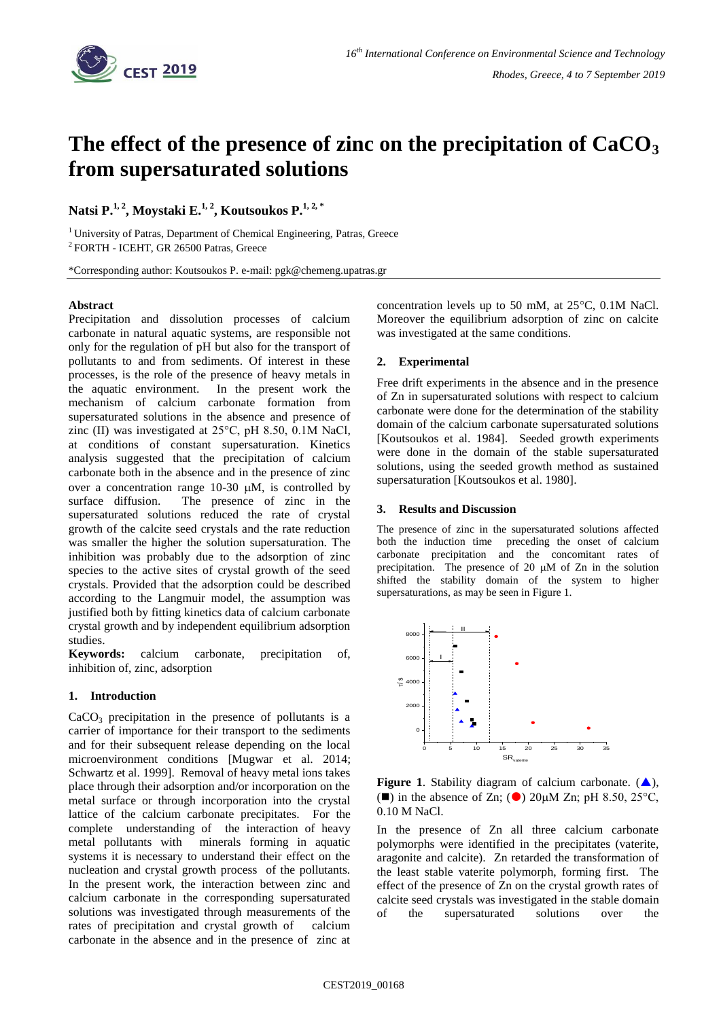

# **The effect of the presence of zinc on the precipitation of CaCO<sup>3</sup> from supersaturated solutions**

**Natsi P.1, <sup>2</sup> , Moystaki E.1, <sup>2</sup> , Koutsoukos P.1, 2, \***

<sup>1</sup> University of Patras, Department of Chemical Engineering, Patras, Greece 2 FORTH - ICEHT, GR 26500 Patras, Greece

\*Corresponding author: Koutsoukos P. e-mail: pgk@chemeng.upatras.gr

## **Abstract**

Precipitation and dissolution processes of calcium carbonate in natural aquatic systems, are responsible not only for the regulation of pH but also for the transport of pollutants to and from sediments. Of interest in these processes, is the role of the presence of heavy metals in the aquatic environment. In the present work the mechanism of calcium carbonate formation from supersaturated solutions in the absence and presence of zinc (II) was investigated at 25°C, pH 8.50, 0.1M NaCl, at conditions of constant supersaturation. Kinetics analysis suggested that the precipitation of calcium carbonate both in the absence and in the presence of zinc over a concentration range  $10-30 \mu M$ , is controlled by surface diffusion. The presence of zinc in the supersaturated solutions reduced the rate of crystal growth of the calcite seed crystals and the rate reduction was smaller the higher the solution supersaturation. The inhibition was probably due to the adsorption of zinc species to the active sites of crystal growth of the seed crystals. Provided that the adsorption could be described according to the Langmuir model, the assumption was justified both by fitting kinetics data of calcium carbonate crystal growth and by independent equilibrium adsorption studies.

**Keywords:** calcium carbonate, precipitation of, inhibition of, zinc, adsorption

#### **1. Introduction**

CaCO<sub>3</sub> precipitation in the presence of pollutants is a carrier of importance for their transport to the sediments and for their subsequent release depending on the local microenvironment conditions [Mugwar et al. 2014; Schwartz et al. 1999]. Removal of heavy metal ions takes place through their adsorption and/or incorporation on the metal surface or through incorporation into the crystal lattice of the calcium carbonate precipitates. For the complete understanding of the interaction of heavy metal pollutants with minerals forming in aquatic systems it is necessary to understand their effect on the nucleation and crystal growth process of the pollutants. In the present work, the interaction between zinc and calcium carbonate in the corresponding supersaturated solutions was investigated through measurements of the rates of precipitation and crystal growth of calcium carbonate in the absence and in the presence of zinc at concentration levels up to 50 mM, at 25°C, 0.1M NaCl. Moreover the equilibrium adsorption of zinc on calcite was investigated at the same conditions.

# **2. Experimental**

Free drift experiments in the absence and in the presence of Zn in supersaturated solutions with respect to calcium carbonate were done for the determination of the stability domain of the calcium carbonate supersaturated solutions [Koutsoukos et al. 1984]. Seeded growth experiments were done in the domain of the stable supersaturated solutions, using the seeded growth method as sustained supersaturation [Koutsoukos et al. 1980].

## **3. Results and Discussion**

The presence of zinc in the supersaturated solutions affected both the induction time preceding the onset of calcium carbonate precipitation and the concomitant rates of precipitation. The presence of  $20 \mu M$  of  $Zn$  in the solution shifted the stability domain of the system to higher supersaturations, as may be seen in Figure 1.



**Figure 1.** Stability diagram of calcium carbonate.  $(\triangle)$ , ( $\blacksquare$ ) in the absence of Zn; ( $\bigcirc$ ) 20 $\mu$ M Zn; pH 8.50, 25<sup>o</sup>C, 0.10 M NaCl.

In the presence of Zn all three calcium carbonate polymorphs were identified in the precipitates (vaterite, aragonite and calcite). Zn retarded the transformation of the least stable vaterite polymorph, forming first. The effect of the presence of Zn on the crystal growth rates of calcite seed crystals was investigated in the stable domain of the supersaturated solutions over the